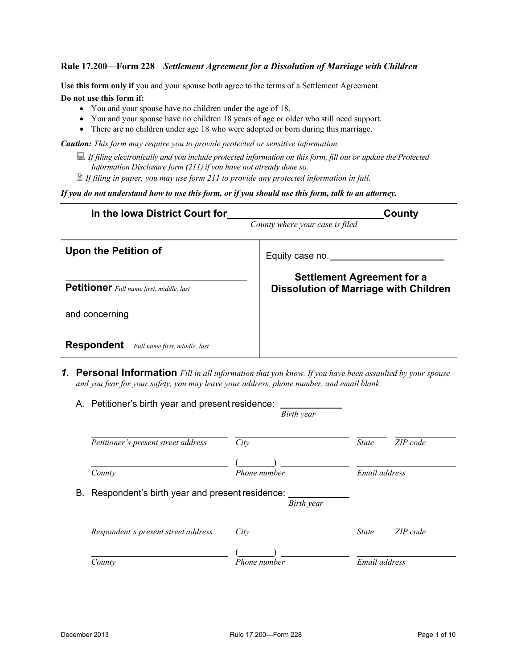**Use this form only if** you and your spouse both agree to the terms of a Settlement Agreement. **Do not use this form if:**

- You and your spouse have no children under the age of 18.
- You and your spouse have no children 18 years of age or older who still need support.
- There are no children under age 18 who were adopted or born during this marriage.

*Caution: This form may require you to provide protected or sensitive information.*

■ *If filing electronically and you include protected information on this form, fill out or update the Protected Information Disclosure form (211) if you have not already done so.*

*If filing in paper, you may use form 211 to provide any protected information in full.*

*If you do not understand how to use this form, or if you should use this form, talk to an attorney.*

| In the Iowa District Court for                     | County                                                                            |  |  |
|----------------------------------------------------|-----------------------------------------------------------------------------------|--|--|
|                                                    | County where your case is filed                                                   |  |  |
| <b>Upon the Petition of</b>                        | Equity case no.                                                                   |  |  |
| Petitioner Full name first, middle, last           | <b>Settlement Agreement for a</b><br><b>Dissolution of Marriage with Children</b> |  |  |
| and concerning                                     |                                                                                   |  |  |
| <b>Respondent</b><br>Full name first, middle, last |                                                                                   |  |  |

*1.* **Personal Information** *Fill in all information that you know. If you have been assaulted by your spouse and you fear for your safety, you may leave your address, phone number, and email blank.*

| Petitioner's present street address            | City         | ZIP code<br><b>State</b> |
|------------------------------------------------|--------------|--------------------------|
|                                                |              |                          |
| County                                         | Phone number | Email address            |
| Respondent's birth year and present residence: | Birth year   |                          |
|                                                |              |                          |
| Respondent's present street address            | City         | ZIP code<br><b>State</b> |
| В.                                             |              |                          |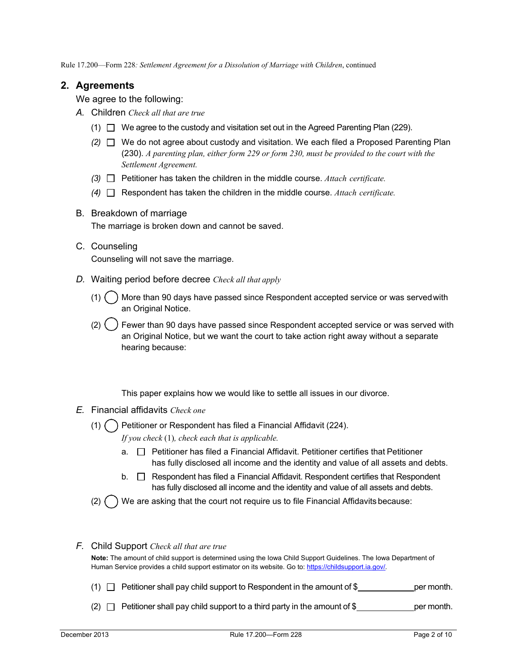## **2. Agreements**

We agree to the following:

- *A.* Children *Check all that are true*
	- $(1)$  We agree to the custody and visitation set out in the Agreed Parenting Plan (229).
	- *(2)* We do not agree about custody and visitation. We each filed a Proposed Parenting Plan (230). *A parenting plan, either form 229 or form 230, must be provided to the court with the Settlement Agreement.*
	- *(3)* Petitioner has taken the children in the middle course. *Attach certificate.*
	- *(4)* Respondent has taken the children in the middle course. *Attach certificate.*

#### B. Breakdown of marriage

The marriage is broken down and cannot be saved.

- C. Counseling Counseling will not save the marriage.
- *D.* Waiting period before decree *Check all that apply*
	- $(1)$  More than 90 days have passed since Respondent accepted service or was served with an Original Notice.

 $(2)$   $($   $)$  Fewer than 90 days have passed since Respondent accepted service or was served with an Original Notice, but we want the court to take action right away without a separate hearing because:

This paper explains how we would like to settle all issues in our divorce.

- *E.* Financial affidavits *Check one*
	- (1)  $\binom{1}{1}$  Petitioner or Respondent has filed a Financial Affidavit (224).

*If you check* (1)*, check each that is applicable.*

- $a. \Box$  Petitioner has filed a Financial Affidavit. Petitioner certifies that Petitioner has fully disclosed all income and the identity and value of all assets and debts.
- $b.$   $\Box$  Respondent has filed a Financial Affidavit. Respondent certifies that Respondent has fully disclosed all income and the identity and value of all assets and debts.
- (2)  $\bigcap$  We are asking that the court not require us to file Financial Affidavits because:

#### *F.* Child Support *Check all that are true*

**Note:** The amount of child support is determined using the Iowa Child Support Guidelines. The Iowa Department of Human Service provides a child support estimator on its website. Go to[: https://childsupport.ia.gov/.](https://childsupport.ia.gov/)

- (1)  $\Box$  Petitioner shall pay child support to Respondent in the amount of \$ per month.
- (2)  $\Box$  Petitioner shall pay child support to a third party in the amount of \$ per month.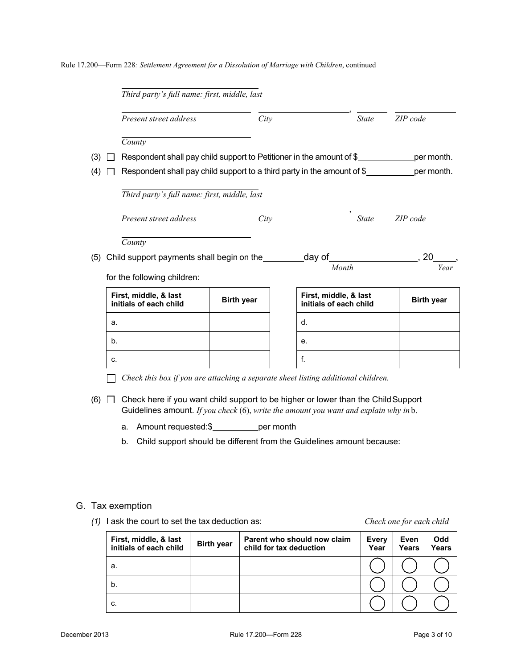|     | Present street address                                                  | City              |                 | <b>State</b>                                    | ZIP code                  |
|-----|-------------------------------------------------------------------------|-------------------|-----------------|-------------------------------------------------|---------------------------|
|     | County                                                                  |                   |                 |                                                 |                           |
| (3) | Respondent shall pay child support to Petitioner in the amount of \$    |                   |                 |                                                 | per month.                |
| (4) | Respondent shall pay child support to a third party in the amount of \$ |                   |                 |                                                 | per month.                |
|     | Third party's full name: first, middle, last                            |                   |                 |                                                 |                           |
|     |                                                                         |                   |                 |                                                 |                           |
|     | Present street address                                                  | City              |                 | <b>State</b>                                    | ZIP code                  |
|     | County                                                                  |                   |                 |                                                 |                           |
| (5) | Child support payments shall begin on the                               |                   | <u>.</u> day of |                                                 | 20                        |
|     | for the following children:                                             |                   |                 | Month                                           |                           |
|     | First, middle, & last<br>initials of each child                         | <b>Birth year</b> |                 | First, middle, & last<br>initials of each child |                           |
|     | a.                                                                      |                   | d.              |                                                 |                           |
|     | b <sub>1</sub>                                                          |                   | е.              |                                                 | Year<br><b>Birth year</b> |
|     | c.                                                                      |                   | f.              |                                                 |                           |

- a. Amount requested:\$\_\_\_\_\_\_\_\_\_\_\_\_per month
- b. Child support should be different from the Guidelines amount because:

#### G. Tax exemption

*(1)* I ask the court to set the tax deduction as: *Check one for each child*

| First, middle, & last<br>initials of each child | <b>Birth year</b> | Parent who should now claim<br>child for tax deduction | <b>Every</b><br>Year | Even<br>Years | <b>Odd</b><br><b>Years</b> |
|-------------------------------------------------|-------------------|--------------------------------------------------------|----------------------|---------------|----------------------------|
| а.                                              |                   |                                                        |                      |               |                            |
| b.                                              |                   |                                                        |                      |               |                            |
| C.                                              |                   |                                                        |                      |               |                            |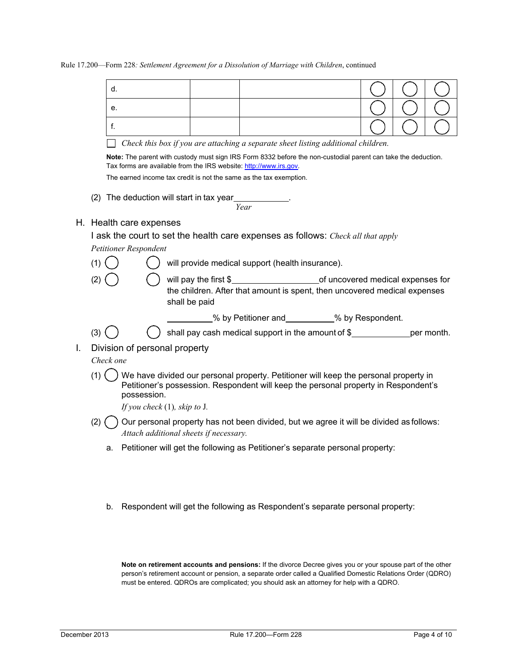|    |           | d.                              |                                                                                                                                                                                    |      |                                             |  |  |
|----|-----------|---------------------------------|------------------------------------------------------------------------------------------------------------------------------------------------------------------------------------|------|---------------------------------------------|--|--|
|    |           | е.                              |                                                                                                                                                                                    |      |                                             |  |  |
|    |           | f.                              |                                                                                                                                                                                    |      |                                             |  |  |
|    |           |                                 | Check this box if you are attaching a separate sheet listing additional children.                                                                                                  |      |                                             |  |  |
|    |           |                                 | Note: The parent with custody must sign IRS Form 8332 before the non-custodial parent can take the deduction.<br>Tax forms are available from the IRS website: http://www.irs.gov. |      |                                             |  |  |
|    |           |                                 | The earned income tax credit is not the same as the tax exemption.                                                                                                                 |      |                                             |  |  |
|    |           |                                 | (2) The deduction will start in tax year                                                                                                                                           | Year |                                             |  |  |
|    |           | H. Health care expenses         |                                                                                                                                                                                    |      |                                             |  |  |
|    |           |                                 | I ask the court to set the health care expenses as follows: Check all that apply                                                                                                   |      |                                             |  |  |
|    |           | Petitioner Respondent           |                                                                                                                                                                                    |      |                                             |  |  |
|    | (1)       |                                 | will provide medical support (health insurance).                                                                                                                                   |      |                                             |  |  |
|    | (2)       |                                 | the children. After that amount is spent, then uncovered medical expenses<br>shall be paid                                                                                         |      |                                             |  |  |
|    |           |                                 |                                                                                                                                                                                    |      | 6 % by Petitioner and 50% will be spondent. |  |  |
|    | (3)       |                                 | shall pay cash medical support in the amount of \$_________________ per month.                                                                                                     |      |                                             |  |  |
| Ι. |           | Division of personal property   |                                                                                                                                                                                    |      |                                             |  |  |
|    | Check one |                                 |                                                                                                                                                                                    |      |                                             |  |  |
|    | (1)       | possession.                     | We have divided our personal property. Petitioner will keep the personal property in<br>Petitioner's possession. Respondent will keep the personal property in Respondent's        |      |                                             |  |  |
|    |           | If you check $(1)$ , skip to J. |                                                                                                                                                                                    |      |                                             |  |  |
|    | (2)       |                                 | Our personal property has not been divided, but we agree it will be divided as follows:<br>Attach additional sheets if necessary.                                                  |      |                                             |  |  |
|    | a.        |                                 | Petitioner will get the following as Petitioner's separate personal property:                                                                                                      |      |                                             |  |  |
|    |           |                                 |                                                                                                                                                                                    |      |                                             |  |  |
|    |           |                                 |                                                                                                                                                                                    |      |                                             |  |  |
|    |           |                                 |                                                                                                                                                                                    |      |                                             |  |  |

b. Respondent will get the following as Respondent's separate personal property:

**Note on retirement accounts and pensions:** If the divorce Decree gives you or your spouse part of the other person's retirement account or pension, a separate order called a Qualified Domestic Relations Order (QDRO) must be entered. QDROs are complicated; you should ask an attorney for help with a QDRO.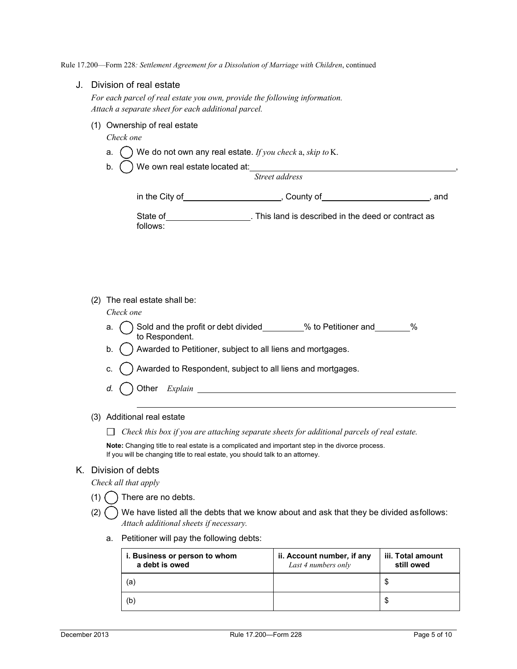#### J. Division of real estate

*For each parcel of real estate you own, provide the following information. Attach a separate sheet for each additional parcel.*

(1) Ownership of real estate

*Check one*

- a. () We do not own any real estate. *If you check* a, *skip to* K.
- b. We own real estate located at: ,

| in the City of_ | County of | and |
|-----------------|-----------|-----|
|                 |           |     |

| State of | . This land is described in the deed or contract as |  |
|----------|-----------------------------------------------------|--|
| follows: |                                                     |  |

*Street address*

(2) The real estate shall be:

#### *Check one*

- a.  $\bigcap$  Sold and the profit or debt divided  $\qquad$  % to Petitioner and  $\qquad$  % to Respondent.
- b.  $\bigcap$  Awarded to Petitioner, subject to all liens and mortgages.
- c.  $\bigcap$  Awarded to Respondent, subject to all liens and mortgages.
- *d.* ( ) Other *Explain* <u>examens **1999**</u>
- (3) Additional real estate

*Check this box if you are attaching separate sheets for additional parcels of real estate.*

**Note:** Changing title to real estate is a complicated and important step in the divorce process. If you will be changing title to real estate, you should talk to an attorney.

#### K. Division of debts

*Check all that apply*

- $(1)$   $($   $)$  There are no debts.
- (2)  $\bigcap$  We have listed all the debts that we know about and ask that they be divided asfollows: *Attach additional sheets if necessary.*
	- a. Petitioner will pay the following debts:

| i. Business or person to whom<br>a debt is owed | ii. Account number, if any<br>Last 4 numbers only | iii. Total amount<br>still owed |
|-------------------------------------------------|---------------------------------------------------|---------------------------------|
| (a)                                             |                                                   |                                 |
| (b)                                             |                                                   | S                               |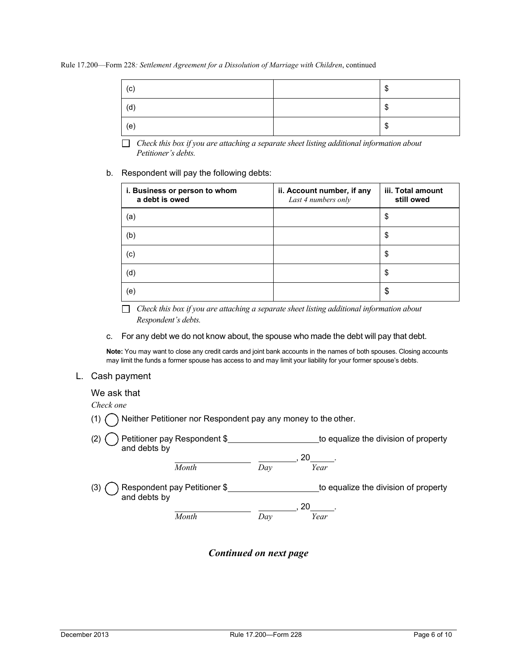| (c) | ጦ<br>۰D |
|-----|---------|
| (d) | ጦ<br>۰D |
| (e) | ₼<br>۰D |

*Check this box if you are attaching a separate sheet listing additional information about Petitioner's debts.*

#### b. Respondent will pay the following debts:

| i. Business or person to whom<br>a debt is owed | ii. Account number, if any<br>Last 4 numbers only | iii. Total amount<br>still owed |
|-------------------------------------------------|---------------------------------------------------|---------------------------------|
| (a)                                             |                                                   | \$                              |
| (b)                                             |                                                   | \$                              |
| (c)                                             |                                                   | \$                              |
| (d)                                             |                                                   | \$                              |
| (e)                                             |                                                   | \$                              |

*Check this box if you are attaching a separate sheet listing additional information about Respondent's debts.*

c. For any debt we do not know about, the spouse who made the debt will pay that debt.

**Note:** You may want to close any credit cards and joint bank accounts in the names of both spouses. Closing accounts may limit the funds a former spouse has access to and may limit your liability for your former spouse's debts.

#### L. Cash payment

#### We ask that

*Check one*

 $(1)$  Neither Petitioner nor Respondent pay any money to the other.

| Petitioner pay Respondent \$<br>(2)<br>and debts by |       |     | to equalize the division of property |
|-----------------------------------------------------|-------|-----|--------------------------------------|
|                                                     | Month | Dav | 20<br>Year                           |
| Respondent pay Petitioner \$<br>(3)<br>and debts by |       |     | to equalize the division of property |
|                                                     | Month | Dav | 20<br>Year                           |

# *Continued on next page*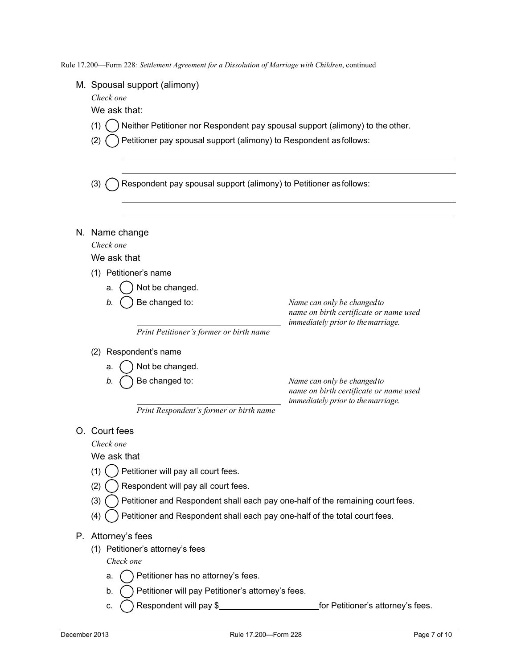M. Spousal support (alimony)

*Check one*

We ask that:

- (1)  $($ ) Neither Petitioner nor Respondent pay spousal support (alimony) to the other.
- (2)  $\bigcap$  Petitioner pay spousal support (alimony) to Respondent as follows:
- (3)  $\bigcap$  Respondent pay spousal support (alimony) to Petitioner as follows:
- N. Name change

*Check one*

We ask that

- (1) Petitioner's name
	- a.  $( )$  Not be changed.
	- *b.* Be changed to: *Name can only be changedto*

*name on birth certificate or name used immediately prior to themarriage.*

*Print Petitioner's former or birth name*

- (2) Respondent's name
	- a.  $( )$  Not be changed.
	-

*b.* Be changed to: *Name can only be changedto name on birth certificate or name used immediately prior to themarriage.* 

*Print Respondent's former or birth name*

### O. Court fees

*Check one* 

We ask that

- $(1)$   $($   $)$  Petitioner will pay all court fees.
- $(2)$   $($   $)$  Respondent will pay all court fees.
- $(3)$   $($ ) Petitioner and Respondent shall each pay one-half of the remaining court fees.
- $(4)$   $\bigcap$  Petitioner and Respondent shall each pay one-half of the total court fees.

### P. Attorney's fees

(1) Petitioner's attorney's fees

*Check one*

- a.  $\binom{9}{2}$  Petitioner has no attorney's fees.
- b.  $\bigcap$  Petitioner will pay Petitioner's attorney's fees.
- c. Respondent will pay \$ for Petitioner's attorney's fees.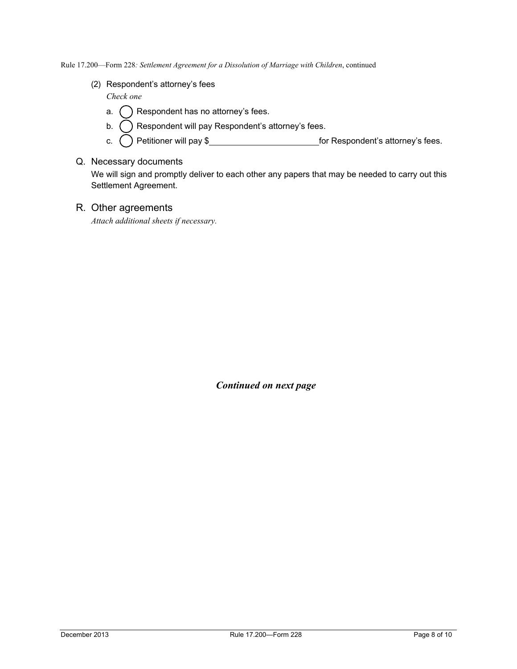(2) Respondent's attorney's fees

*Check one*

- a.  $\bigcap$  Respondent has no attorney's fees.
- b.  $\bigcap$  Respondent will pay Respondent's attorney's fees.
- c.  $\bigcap$  Petitioner will pay \$ for Respondent's attorney's fees.
- Q. Necessary documents

We will sign and promptly deliver to each other any papers that may be needed to carry out this Settlement Agreement.

# R. Other agreements

*Attach additional sheets if necessary.*

*Continued on next page*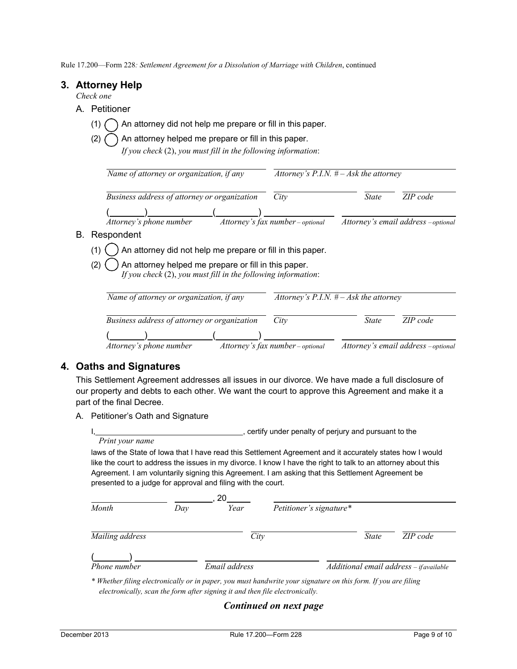# **3. Attorney Help**

*Check one*

- A. Petitioner
	- (1)  $\bigcap$  An attorney did not help me prepare or fill in this paper.
	- (2)  $\bigcirc$  An attorney helped me prepare or fill in this paper.

| If you check (2), you must fill in the following information: |  |  |  |
|---------------------------------------------------------------|--|--|--|
|---------------------------------------------------------------|--|--|--|

|     | Name of attorney or organization, if any                                                                                        | Attorney's P.I.N. $# - Ask$ the attorney |                                          |                                     |  |  |  |
|-----|---------------------------------------------------------------------------------------------------------------------------------|------------------------------------------|------------------------------------------|-------------------------------------|--|--|--|
|     | Business address of attorney or organization                                                                                    | City                                     | <b>State</b>                             | ZIP code                            |  |  |  |
|     | Attorney's phone number                                                                                                         | Attorney's fax number - optional         |                                          | Attorney's email address - optional |  |  |  |
| В.  | Respondent                                                                                                                      |                                          |                                          |                                     |  |  |  |
| (1) | An attorney did not help me prepare or fill in this paper.                                                                      |                                          |                                          |                                     |  |  |  |
|     | An attorney helped me prepare or fill in this paper.<br>(2)<br>If you check $(2)$ , you must fill in the following information: |                                          |                                          |                                     |  |  |  |
|     | Name of attorney or organization, if any                                                                                        |                                          | Attorney's P.I.N. $# - Ask$ the attorney |                                     |  |  |  |
|     | Business address of attorney or organization                                                                                    | City                                     | <b>State</b>                             | ZIP code                            |  |  |  |
|     | Attorney's phone number                                                                                                         | Attorney's fax number - optional         |                                          | Attorney's email address - optional |  |  |  |

# **4. Oaths and Signatures**

This Settlement Agreement addresses all issues in our divorce. We have made a full disclosure of our property and debts to each other. We want the court to approve this Agreement and make it a part of the final Decree.

A. Petitioner's Oath and Signature

I, certify under penalty of perjury and pursuant to the *Print your name*

laws of the State of Iowa that I have read this Settlement Agreement and it accurately states how I would like the court to address the issues in my divorce. I know I have the right to talk to an attorney about this Agreement. I am voluntarily signing this Agreement. I am asking that this Settlement Agreement be presented to a judge for approval and filing with the court.

|                 |     | 20            |                         |              |                                         |
|-----------------|-----|---------------|-------------------------|--------------|-----------------------------------------|
| Month           | Day | Year          | Petitioner's signature* |              |                                         |
| Mailing address |     | City          |                         | <i>State</i> | ZIP code                                |
| Phone number    |     | Email address |                         |              | Additional email address - if available |

*\* Whether filing electronically or in paper, you must handwrite your signature on this form. If you are filing electronically, scan the form after signing it and then file electronically.*

# *Continued on next page*